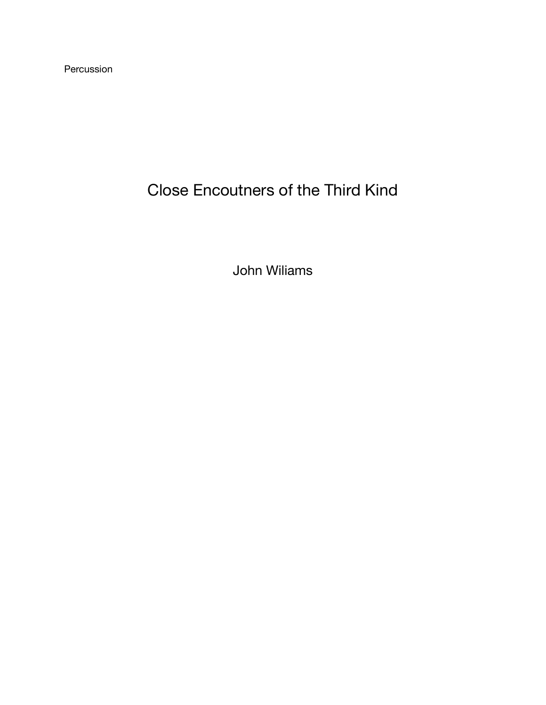Percussion

## Close Encoutners of the Third Kind

John Wiliams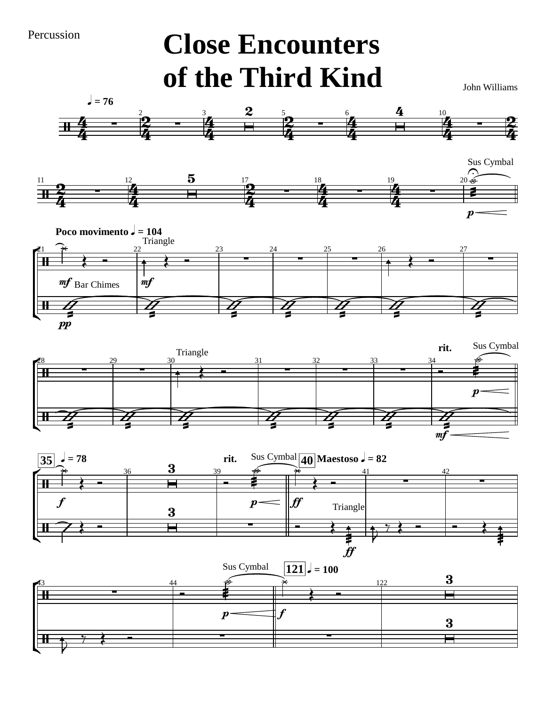Percussion

## **Close Encounters of the Third Kind**